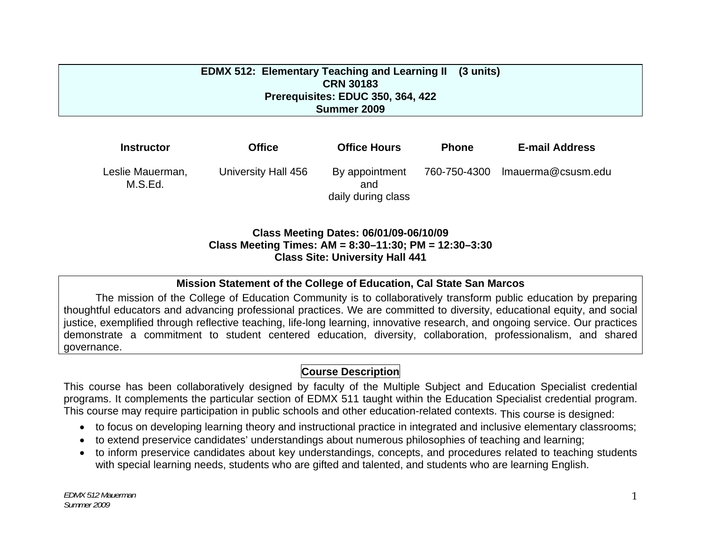#### **EDMX 512: Elementary Teaching and Learning II CRN 30183 Prerequisites: EDUC 350, 364, 422 Summer 2009 (3 units)**

| <b>Instructor</b>           | <b>Office</b>       | <b>Office Hours</b>                         | <b>Phone</b> | <b>E-mail Address</b> |
|-----------------------------|---------------------|---------------------------------------------|--------------|-----------------------|
| Leslie Mauerman,<br>M.S.Ed. | University Hall 456 | By appointment<br>and<br>daily during class | 760-750-4300 | Imauerma@csusm.edu    |

#### **Class Meeting Dates: 06/01/09-06/10/09 Class Meeting Times: AM = 8:30–11:30; PM = 12:30–3:30 Class Site: University Hall 441**

#### **Mission Statement of the College of Education, Cal State San Marcos**

The mission of the College of Education Community is to collaboratively transform public education by preparing thoughtful educators and advancing professional practices. We are committed to diversity, educational equity, and social justice, exemplified through reflective teaching, life-long learning, innovative research, and ongoing service. Our practices demonstrate a commitment to student centered education, diversity, collaboration, professionalism, and shared governance.

## **Course Description**

This course has been collaboratively designed by faculty of the Multiple Subject and Education Specialist credential programs. It complements the particular section of EDMX 511 taught within the Education Specialist credential program. This course may require participation in public schools and other education-related contexts. This course is designed:

- • to focus on developing learning theory and instructional practice in integrated and inclusive elementary classrooms;
- $\bullet$   $\,$  to extend preservice candidates' understandings about numerous philosophies of teaching and learning;
- to inform preservice candidates about key understandings, concepts, and procedures related to teaching students with special learning needs, students who are gifted and talented, and students who are learning English.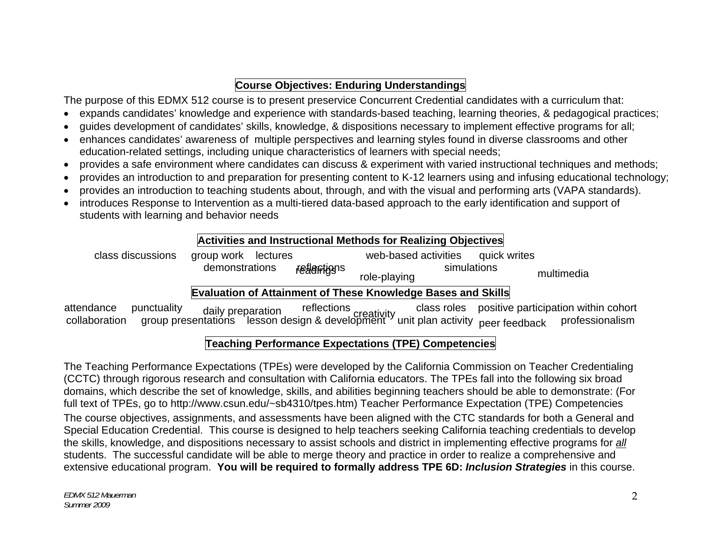# **Course Objectives: Enduring Understandings**

The purpose of this EDMX 512 course is to present preservice Concurrent Credential candidates with a curriculum that:

- • expands candidates' knowledge and experience with standards-based teaching, learning theories, & pedagogical practices;
- • guides development of candidates' skills, knowledge, & dispositions necessary to implement effective programs for all;
- • enhances candidates' awareness of multiple perspectives and learning styles found in diverse classrooms and other education-related settings, including unique characteristics of learners with special needs;
- • provides a safe environment where candidates can discuss & experiment with varied instructional techniques and methods;
- • provides an introduction to and preparation for presenting content to K-12 learners using and infusing educational technology;
- • provides an introduction to teaching students about, through, and with the visual and performing arts (VAPA standards).
- • introduces Response to Intervention as a multi-tiered data-based approach to the early identification and support of students with learning and behavior needs

# **Activities and Instructional Methods for Realizing Objectives**

| class discussions | group work lectures |             | web-based activities                                         | quick writes |            |
|-------------------|---------------------|-------------|--------------------------------------------------------------|--------------|------------|
|                   | demonstrations      | realentigns | role-playing                                                 | simulations  | multimedia |
|                   |                     |             | Evaluation of Attainment of These Knowledge Bases and Skills |              |            |

attendance punctuality daily preparation reflections creativity class roles positive participation within cohort collaboration group presentations lesson design & development unit plan activity peer feedback professionalis

# **Teaching Performance Expectations (TPE) Competencies**

The Teaching Performance Expectations (TPEs) were developed by the California Commission on Teacher Credentialing (CCTC) through rigorous research and consultation with California educators. The TPEs fall into the following six broad domains, which describe the set of knowledge, skills, and abilities beginning teachers should be able to demonstrate: (For full text of TPEs, go to http://www.csun.edu/~sb4310/tpes.htm) Teacher Performance Expectation (TPE) Competencies

The course objectives, assignments, and assessments have been aligned with the CTC standards for both a General and Special Education Credential. This course is designed to help teachers seeking California teaching credentials to develop the skills, knowledge, and dispositions necessary to assist schools and district in implementing effective programs for *all*  students. The successful candidate will be able to merge theory and practice in order to realize a comprehensive and extensive educational program. **You will be required to formally address TPE 6D:** *Inclusion Strategies* in this course.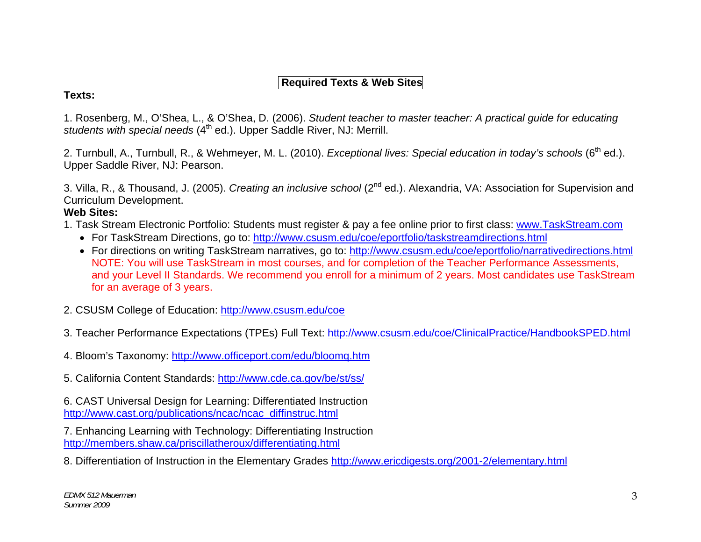# **Required Texts & Web Sites**

#### **Texts:**

1. Rosenberg, M., O'Shea, L., & O'Shea, D. (2006). *Student teacher to master teacher: A practical guide for educating*  students with special needs (4<sup>th</sup> ed.). Upper Saddle River, NJ: Merrill.

2. Turnbull, A., Turnbull, R., & Wehmeyer, M. L. (2010). *Exceptional lives: Special education in today's schools* (6<sup>th</sup> ed.). Upper Saddle River, NJ: Pearson.

3. Villa, R., & Thousand, J. (2005). *Creating an inclusive school* (2nd ed.). Alexandria, VA: Association for Supervision and Curriculum Development.

## **Web Sites:**

- 1. Task Stream Electronic Portfolio: Students must register & pay a fee online prior to first class: www.TaskStream.com
	- For TaskStream Directions, go to: <u>http://www.csusm.edu/coe/eportfolio/taskstreamdirections.html</u>
	- For directions on writing TaskStream narratives, go to: <u>http://www.csusm.edu/coe/eportfolio/narrativedirections.html</u> NOTE: You will use TaskStream in most courses, and for completion of the Teacher Performance Assessments, and your Level II Standards. We recommend you enroll for a minimum of 2 years. Most candidates use TaskStream for an average of 3 years.
- 2. CSUSM College of Education: http://www.csusm.edu/coe
- 3. Teacher Performance Expectations (TPEs) Full Text: http://www.csusm.edu/coe/ClinicalPractice/HandbookSPED.html
- 4. Bloom's Taxonomy: http://www.officeport.com/edu/bloomq.htm
- 5. California Content Standards: http://www.cde.ca.gov/be/st/ss/

6. CAST Universal Design for Learning: Differentiated Instruction http://www.cast.org/publications/ncac/ncac\_diffinstruc.html

7. Enhancing Learning with Technology: Differentiating Instruction http://members.shaw.ca/priscillatheroux/differentiating.html

8. Differentiation of Instruction in the Elementary Grades http://www.ericdigests.org/2001-2/elementary.html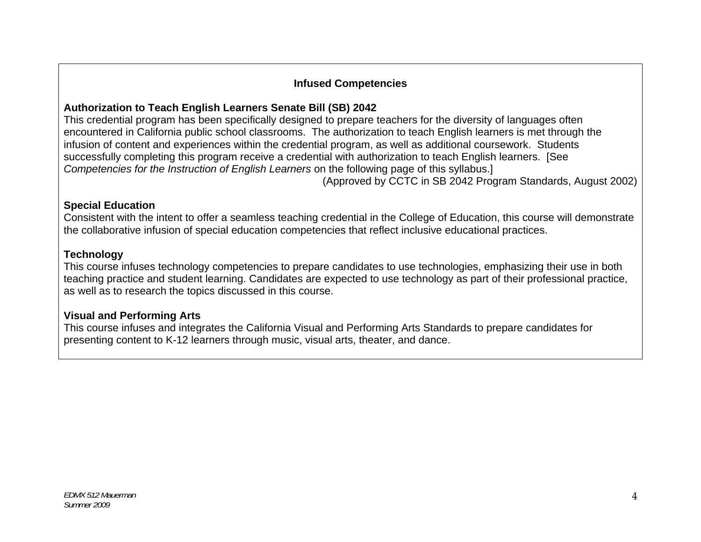## **Infused Competencies**

# **Authorization to Teach English Learners Senate Bill (SB) 2042**

This credential program has been specifically designed to prepare teachers for the diversity of languages often encountered in California public school classrooms. The authorization to teach English learners is met through the infusion of content and experiences within the credential program, as well as additional coursework. Students successfully completing this program receive a credential with authorization to teach English learners. [See *Competencies for the Instruction of English Learners* on the following page of this syllabus.]

(Approved by CCTC in SB 2042 Program Standards, August 2002)

## **Special Education**

Consistent with the intent to offer a seamless teaching credential in the College of Education, this course will demonstrate the collaborative infusion of special education competencies that reflect inclusive educational practices.

## **Technology**

This course infuses technology competencies to prepare candidates to use technologies, emphasizing their use in both teaching practice and student learning. Candidates are expected to use technology as part of their professional practice, as well as to research the topics discussed in this course.

## **Visual and Performing Arts**

This course infuses and integrates the California Visual and Performing Arts Standards to prepare candidates for presenting content to K-12 learners through music, visual arts, theater, and dance.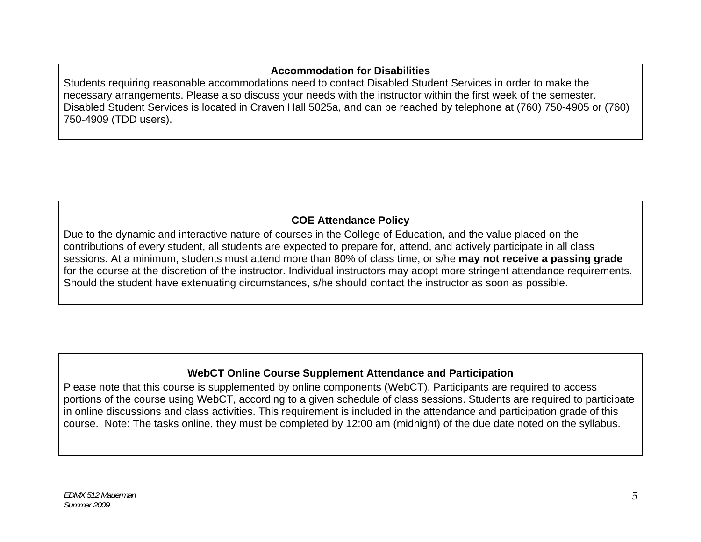## **Accommodation for Disabilities**

Students requiring reasonable accommodations need to contact Disabled Student Services in order to make the necessary arrangements. Please also discuss your needs with the instructor within the first week of the semester. Disabled Student Services is located in Craven Hall 5025a, and can be reached by telephone at (760) 750-4905 or (760) 750-4909 (TDD users).

# **COE Attendance Policy**

Due to the dynamic and interactive nature of courses in the College of Education, and the value placed on the contributions of every student, all students are expected to prepare for, attend, and actively participate in all class sessions. At a minimum, students must attend more than 80% of class time, or s/he **may not receive a passing grade**  for the course at the discretion of the instructor. Individual instructors may adopt more stringent attendance requirements. Should the student have extenuating circumstances, s/he should contact the instructor as soon as possible.

## **WebCT Online Course Supplement Attendance and Participation**

Please note that this course is supplemented by online components (WebCT). Participants are required to access portions of the course using WebCT, according to a given schedule of class sessions. Students are required to participate in online discussions and class activities. This requirement is included in the attendance and participation grade of this course. Note: The tasks online, they must be completed by 12:00 am (midnight) of the due date noted on the syllabus.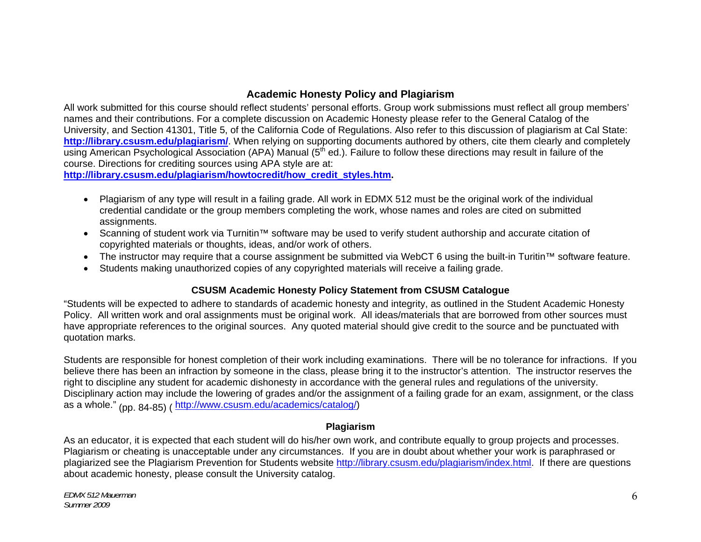### **Academic Honesty Policy and Plagiarism**

All work submitted for this course should reflect students' personal efforts. Group work submissions must reflect all group members' names and their contributions. For a complete discussion on Academic Honesty please refer to the General Catalog of the University, and Section 41301, Title 5, of the California Code of Regulations. Also refer to this discussion of plagiarism at Cal State: **http://library.csusm.edu/plagiarism/**. When relying on supporting documents authored by others, cite them clearly and completely using American Psychological Association (APA) Manual (5<sup>th</sup> ed.). Failure to follow these directions may result in failure of the course. Directions for crediting sources using APA style are at:

**http://library.csusm.edu/plagiarism/howtocredit/how\_credit\_styles.htm.** 

- $\bullet$  Plagiarism of any type will result in a failing grade. All work in EDMX 512 must be the original work of the individual credential candidate or the group members completing the work, whose names and roles are cited on submitted assignments.
- • Scanning of student work via Turnitin™ software may be used to verify student authorship and accurate citation of copyrighted materials or thoughts, ideas, and/or work of others.
- • The instructor may require that a course assignment be submitted via WebCT 6 using the built-in Turitin™ software feature.
- • Students making unauthorized copies of any copyrighted materials will receive a failing grade.

#### **CSUSM Academic Honesty Policy Statement from CSUSM Catalogue**

"Students will be expected to adhere to standards of academic honesty and integrity, as outlined in the Student Academic Honesty Policy. All written work and oral assignments must be original work. All ideas/materials that are borrowed from other sources must have appropriate references to the original sources. Any quoted material should give credit to the source and be punctuated with quotation marks.

Students are responsible for honest completion of their work including examinations. There will be no tolerance for infractions. If you believe there has been an infraction by someone in the class, please bring it to the instructor's attention. The instructor reserves the right to discipline any student for academic dishonesty in accordance with the general rules and regulations of the university. Disciplinary action may include the lowering of grades and/or the assignment of a failing grade for an exam, assignment, or the class as a whole." (pp. 84-85) ( http://www.csusm.edu/academics/catalog/)

#### **Plagiarism**

As an educator, it is expected that each student will do his/her own work, and contribute equally to group projects and processes. Plagiarism or cheating is unacceptable under any circumstances. If you are in doubt about whether your work is paraphrased or plagiarized see the Plagiarism Prevention for Students website http://library.csusm.edu/plagiarism/index.html. If there are questions about academic honesty, please consult the University catalog.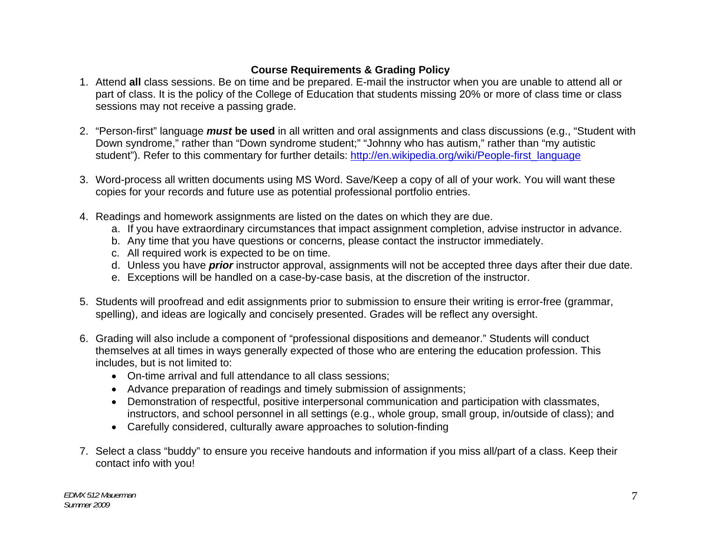# **Course Requirements & Grading Policy**

- 1. Attend **all** class sessions. Be on time and be prepared. E-mail the instructor when you are unable to attend all or part of class. It is the policy of the College of Education that students missing 20% or more of class time or class sessions may not receive a passing grade.
- 2. "Person-first" language *must* **be used** in all written and oral assignments and class discussions (e.g., "Student with Down syndrome," rather than "Down syndrome student;" "Johnny who has autism," rather than "my autistic student"). Refer to this commentary for further details: http://en.wikipedia.org/wiki/People-first\_language
- 3. Word-process all written documents using MS Word. Save/Keep a copy of all of your work. You will want these copies for your records and future use as potential professional portfolio entries.
- 4. Readings and homework assignments are listed on the dates on which they are due.
	- a. If you have extraordinary circumstances that impact assignment completion, advise instructor in advance.
	- b. Any time that you have questions or concerns, please contact the instructor immediately.
	- c. All required work is expected to be on time.
	- d. Unless you have *prior* instructor approval, assignments will not be accepted three days after their due date.
	- e. Exceptions will be handled on a case-by-case basis, at the discretion of the instructor.
- 5. Students will proofread and edit assignments prior to submission to ensure their writing is error-free (grammar, spelling), and ideas are logically and concisely presented. Grades will be reflect any oversight.
- 6. Grading will also include a component of "professional dispositions and demeanor." Students will conduct themselves at all times in ways generally expected of those who are entering the education profession. This includes, but is not limited to:
	- • On-time arrival and full attendance to all class sessions;
	- • Advance preparation of readings and timely submission of assignments;
	- • Demonstration of respectful, positive interpersonal communication and participation with classmates, instructors, and school personnel in all settings (e.g., whole group, small group, in/outside of class); and
	- Carefully considered, culturally aware approaches to solution-finding
- 7. Select a class "buddy" to ensure you receive handouts and information if you miss all/part of a class. Keep their contact info with you!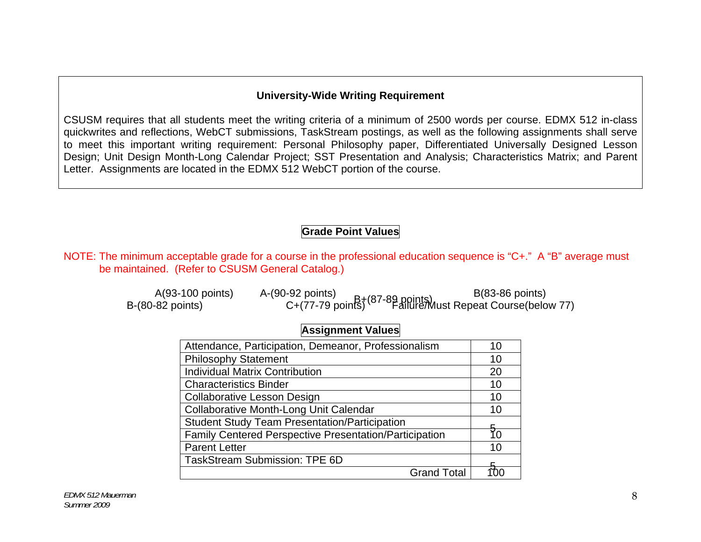#### **University-Wide Writing Requirement**

CSUSM requires that all students meet the writing criteria of a minimum of 2500 words per course. EDMX 512 in-class quickwrites and reflections, WebCT submissions, TaskStream postings, as well as the following assignments shall serve to meet this important writing requirement: Personal Philosophy paper, Differentiated Universally Designed Lesson Design; Unit Design Month-Long Calendar Project; SST Presentation and Analysis; Characteristics Matrix; and Parent Letter. Assignments are located in the EDMX 512 WebCT portion of the course.

## **Grade Point Values**

NOTE: The minimum acceptable grade for a course in the professional education sequence is "C+." A "B" average must be maintained. (Refer to CSUSM General Catalog.)

| A(93-100 points)   | A-(90-92 points) | $B(83-86$ points)                                                  |
|--------------------|------------------|--------------------------------------------------------------------|
| B-(80-82 points) . |                  | Coo-ou pullis)<br>C+(77-79 points) (87-89 points) C+(77-79 points) |

## **Assignment Values**

| Attendance, Participation, Demeanor, Professionalism   | 10 |
|--------------------------------------------------------|----|
| <b>Philosophy Statement</b>                            | 10 |
| <b>Individual Matrix Contribution</b>                  | 20 |
| <b>Characteristics Binder</b>                          | 10 |
| <b>Collaborative Lesson Design</b>                     | 10 |
| Collaborative Month-Long Unit Calendar                 | 10 |
| <b>Student Study Team Presentation/Participation</b>   |    |
| Family Centered Perspective Presentation/Participation |    |
| <b>Parent Letter</b>                                   | 10 |
| <b>TaskStream Submission: TPE 6D</b>                   |    |
| <b>Grand Total</b>                                     |    |
|                                                        |    |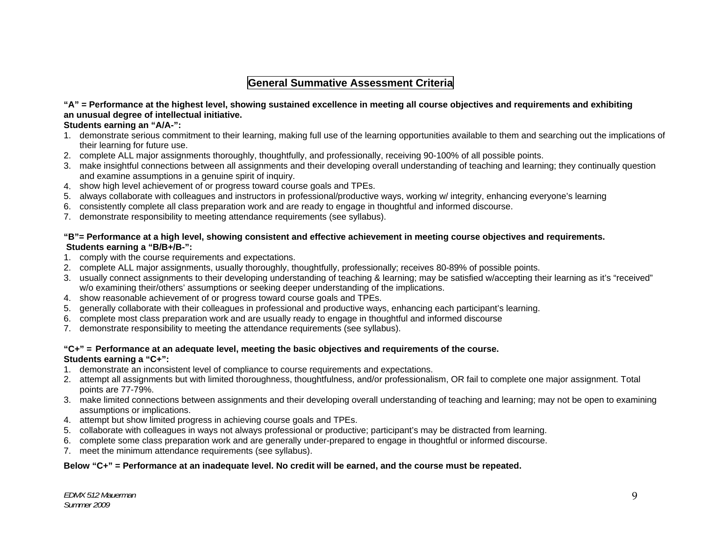## **General Summative Assessment Criteria**

#### **"A" = Performance at the highest level, showing sustained excellence in meeting all course objectives and requirements and exhibiting an unusual degree of intellectual initiative.**

#### **Students earning an "A/A-":**

- 1. demonstrate serious commitment to their learning, making full use of the learning opportunities available to them and searching out the implications of their learning for future use.
- 2. complete ALL major assignments thoroughly, thoughtfully, and professionally, receiving 90-100% of all possible points.
- 3. make insightful connections between all assignments and their developing overall understanding of teaching and learning; they continually question and examine assumptions in a genuine spirit of inquiry.
- 4. show high level achievement of or progress toward course goals and TPEs.
- 5. always collaborate with colleagues and instructors in professional/productive ways, working w/ integrity, enhancing everyone's learning
- 6. consistently complete all class preparation work and are ready to engage in thoughtful and informed discourse.
- 7. demonstrate responsibility to meeting attendance requirements (see syllabus).

#### **"B"= Performance at a high level, showing consistent and effective achievement in meeting course objectives and requirements. Students earning a "B/B+/B-":**

- 1. comply with the course requirements and expectations.
- 2. complete ALL major assignments, usually thoroughly, thoughtfully, professionally; receives 80-89% of possible points.
- 3. usually connect assignments to their developing understanding of teaching & learning; may be satisfied w/accepting their learning as it's "received" w/o examining their/others' assumptions or seeking deeper understanding of the implications.
- 4. show reasonable achievement of or progress toward course goals and TPEs.
- 5. generally collaborate with their colleagues in professional and productive ways, enhancing each participant's learning.
- 6. complete most class preparation work and are usually ready to engage in thoughtful and informed discourse
- 7. demonstrate responsibility to meeting the attendance requirements (see syllabus).

#### **"C+" = Performance at an adequate level, meeting the basic objectives and requirements of the course.**

#### **Students earning a "C+":**

- 1. demonstrate an inconsistent level of compliance to course requirements and expectations.
- 2. attempt all assignments but with limited thoroughness, thoughtfulness, and/or professionalism, OR fail to complete one major assignment. Total points are 77-79%.
- 3. make limited connections between assignments and their developing overall understanding of teaching and learning; may not be open to examining assumptions or implications.
- 4. attempt but show limited progress in achieving course goals and TPEs.
- 5. collaborate with colleagues in ways not always professional or productive; participant's may be distracted from learning.
- 6. complete some class preparation work and are generally under-prepared to engage in thoughtful or informed discourse.
- 7. meet the minimum attendance requirements (see syllabus).

#### **Below "C+" = Performance at an inadequate level. No credit will be earned, and the course must be repeated.**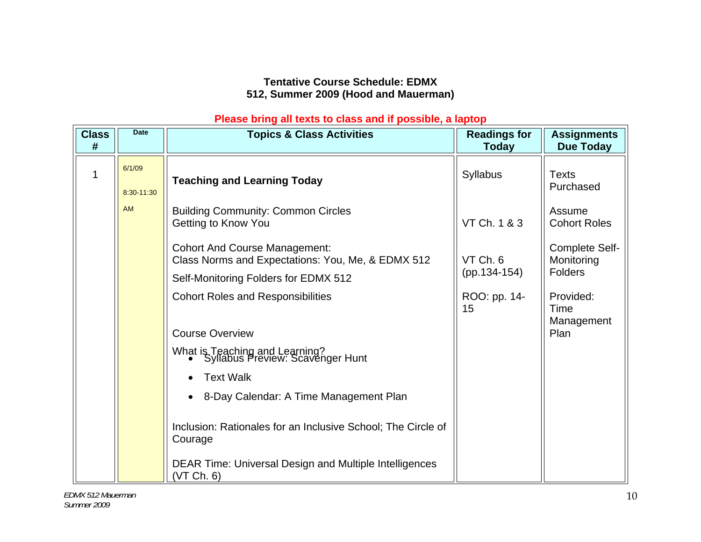## **Tentative Course Schedule: EDMX 512, Summer 2009 (Hood and Mauerman)**

### **Please bring all texts to class and if possible, a laptop**

| <b>Class</b><br># | <b>Date</b>          | <b>Topics &amp; Class Activities</b>                                                      | <b>Readings for</b><br>Today | <b>Assignments</b><br><b>Due Today</b>         |
|-------------------|----------------------|-------------------------------------------------------------------------------------------|------------------------------|------------------------------------------------|
|                   | 6/1/09<br>8:30-11:30 | <b>Teaching and Learning Today</b>                                                        | Syllabus                     | <b>Texts</b><br>Purchased                      |
|                   | <b>AM</b>            | <b>Building Community: Common Circles</b><br>Getting to Know You                          | VT Ch. 1 & 3                 | Assume<br><b>Cohort Roles</b>                  |
|                   |                      | <b>Cohort And Course Management:</b><br>Class Norms and Expectations: You, Me, & EDMX 512 | VT Ch. 6                     | Complete Self-<br>Monitoring<br><b>Folders</b> |
|                   |                      | Self-Monitoring Folders for EDMX 512                                                      | (pp.134-154)                 |                                                |
|                   |                      | <b>Cohort Roles and Responsibilities</b>                                                  | ROO: pp. 14-<br>15           | Provided:<br>Time<br>Management                |
|                   |                      | <b>Course Overview</b>                                                                    |                              | Plan                                           |
|                   |                      | What is Teaching and Learning?<br>• Syllabus Preview: Scavenger Hunt                      |                              |                                                |
|                   |                      | <b>Text Walk</b>                                                                          |                              |                                                |
|                   |                      | 8-Day Calendar: A Time Management Plan                                                    |                              |                                                |
|                   |                      | Inclusion: Rationales for an Inclusive School; The Circle of<br>Courage                   |                              |                                                |
|                   |                      | <b>DEAR Time: Universal Design and Multiple Intelligences</b><br>(VT Ch. 6)               |                              |                                                |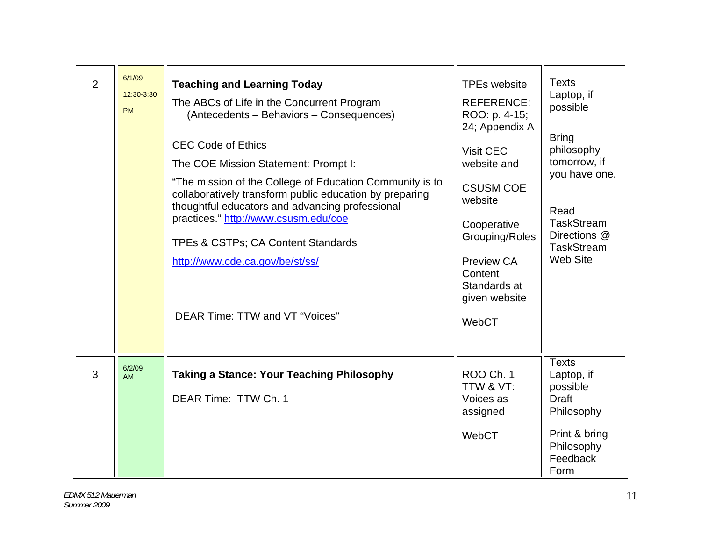| $\overline{2}$ | 6/1/09<br>12:30-3:30<br><b>PM</b> | <b>Teaching and Learning Today</b><br>The ABCs of Life in the Concurrent Program<br>(Antecedents - Behaviors - Consequences)<br><b>CEC Code of Ethics</b><br>The COE Mission Statement: Prompt I:<br>"The mission of the College of Education Community is to<br>collaboratively transform public education by preparing<br>thoughtful educators and advancing professional<br>practices." http://www.csusm.edu/coe<br>TPEs & CSTPs; CA Content Standards<br>http://www.cde.ca.gov/be/st/ss/<br>DEAR Time: TTW and VT "Voices" | <b>TPEs website</b><br><b>REFERENCE:</b><br>ROO: p. 4-15;<br>24; Appendix A<br>Visit CEC<br>website and<br><b>CSUSM COE</b><br>website<br>Cooperative<br>Grouping/Roles<br>Preview CA<br>Content<br>Standards at<br>given website<br>WebCT | <b>Texts</b><br>Laptop, if<br>possible<br><b>Bring</b><br>philosophy<br>tomorrow, if<br>you have one.<br>Read<br><b>TaskStream</b><br>Directions @<br><b>TaskStream</b><br><b>Web Site</b> |
|----------------|-----------------------------------|--------------------------------------------------------------------------------------------------------------------------------------------------------------------------------------------------------------------------------------------------------------------------------------------------------------------------------------------------------------------------------------------------------------------------------------------------------------------------------------------------------------------------------|--------------------------------------------------------------------------------------------------------------------------------------------------------------------------------------------------------------------------------------------|--------------------------------------------------------------------------------------------------------------------------------------------------------------------------------------------|
| 3              | 6/2/09<br><b>AM</b>               | <b>Taking a Stance: Your Teaching Philosophy</b><br>DEAR Time: TTW Ch. 1                                                                                                                                                                                                                                                                                                                                                                                                                                                       | <b>ROO Ch. 1</b><br>TTW & VT:<br>Voices as<br>assigned<br>WebCT                                                                                                                                                                            | <b>Texts</b><br>Laptop, if<br>possible<br><b>Draft</b><br>Philosophy<br>Print & bring<br>Philosophy<br>Feedback<br>Form                                                                    |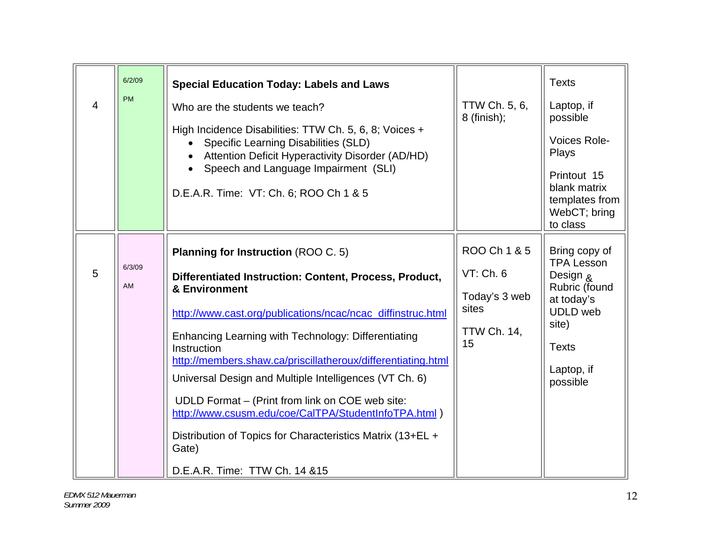| 6/2/09<br><b>PM</b><br>$\overline{4}$ | <b>Special Education Today: Labels and Laws</b><br>Who are the students we teach?<br>High Incidence Disabilities: TTW Ch. 5, 6, 8; Voices +<br>Specific Learning Disabilities (SLD)<br>Attention Deficit Hyperactivity Disorder (AD/HD)<br>Speech and Language Impairment (SLI)<br>D.E.A.R. Time: VT: Ch. 6; ROO Ch 1 & 5                                                                                                                                                                                                                                                                                | TTW Ch. 5, 6,<br>$8$ (finish);                                                  | <b>Texts</b><br>Laptop, if<br>possible<br>Voices Role-<br>Plays<br>Printout 15<br>blank matrix<br>templates from<br>WebCT; bring<br>to class                   |
|---------------------------------------|----------------------------------------------------------------------------------------------------------------------------------------------------------------------------------------------------------------------------------------------------------------------------------------------------------------------------------------------------------------------------------------------------------------------------------------------------------------------------------------------------------------------------------------------------------------------------------------------------------|---------------------------------------------------------------------------------|----------------------------------------------------------------------------------------------------------------------------------------------------------------|
| 6/3/09<br>5<br>AM                     | <b>Planning for Instruction (ROO C. 5)</b><br>Differentiated Instruction: Content, Process, Product,<br>& Environment<br>http://www.cast.org/publications/ncac/ncac_diffinstruc.html<br>Enhancing Learning with Technology: Differentiating<br>Instruction<br>http://members.shaw.ca/priscillatheroux/differentiating.html<br>Universal Design and Multiple Intelligences (VT Ch. 6)<br>UDLD Format – (Print from link on COE web site:<br>http://www.csusm.edu/coe/CalTPA/StudentInfoTPA.html)<br>Distribution of Topics for Characteristics Matrix (13+EL +<br>Gate)<br>D.E.A.R. Time: TTW Ch. 14 & 15 | ROO Ch 1 & 5<br>VT: Ch. 6<br>Today's 3 web<br>sites<br><b>TTW Ch. 14,</b><br>15 | Bring copy of<br><b>TPA Lesson</b><br><b>Design &amp;</b><br>Rubric (found<br>at today's<br><b>UDLD</b> web<br>site)<br><b>Texts</b><br>Laptop, if<br>possible |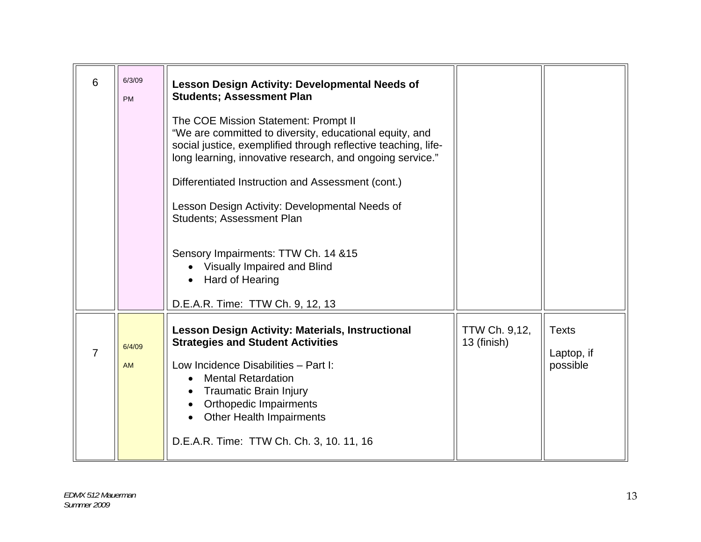| 6 | 6/3/09<br><b>PM</b> | <b>Lesson Design Activity: Developmental Needs of</b><br><b>Students; Assessment Plan</b><br>The COE Mission Statement: Prompt II<br>"We are committed to diversity, educational equity, and<br>social justice, exemplified through reflective teaching, life-<br>long learning, innovative research, and ongoing service."<br>Differentiated Instruction and Assessment (cont.)<br>Lesson Design Activity: Developmental Needs of<br><b>Students: Assessment Plan</b><br>Sensory Impairments: TTW Ch. 14 & 15<br>Visually Impaired and Blind<br>Hard of Hearing<br>D.E.A.R. Time: TTW Ch. 9, 12, 13 |                              |                                        |
|---|---------------------|------------------------------------------------------------------------------------------------------------------------------------------------------------------------------------------------------------------------------------------------------------------------------------------------------------------------------------------------------------------------------------------------------------------------------------------------------------------------------------------------------------------------------------------------------------------------------------------------------|------------------------------|----------------------------------------|
| 7 | 6/4/09<br><b>AM</b> | Lesson Design Activity: Materials, Instructional<br><b>Strategies and Student Activities</b><br>Low Incidence Disabilities - Part I:<br><b>Mental Retardation</b><br>Traumatic Brain Injury<br><b>Orthopedic Impairments</b><br><b>Other Health Impairments</b><br>D.E.A.R. Time: TTW Ch. Ch. 3, 10. 11, 16                                                                                                                                                                                                                                                                                          | TTW Ch. 9,12,<br>13 (finish) | <b>Texts</b><br>Laptop, if<br>possible |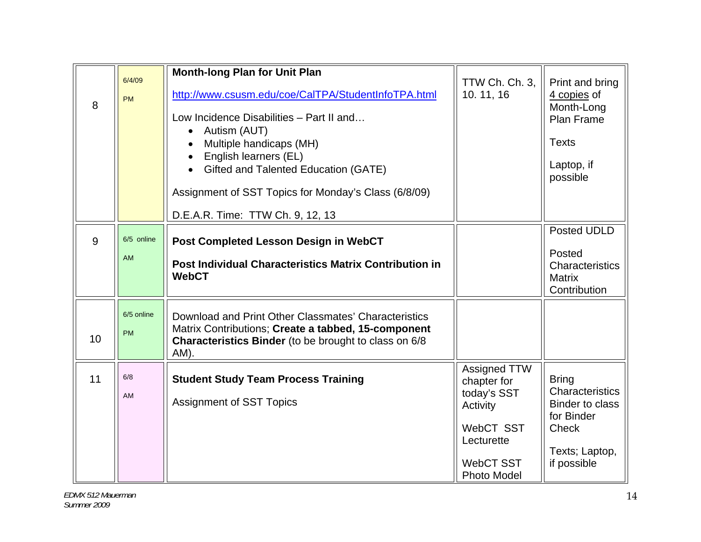| 6/4/09<br><b>PM</b>     | <b>Month-long Plan for Unit Plan</b><br>http://www.csusm.edu/coe/CalTPA/StudentInfoTPA.html<br>Low Incidence Disabilities - Part II and<br>Autism (AUT)<br>$\bullet$<br>Multiple handicaps (MH)<br>English learners (EL)<br>Gifted and Talented Education (GATE)<br>Assignment of SST Topics for Monday's Class (6/8/09) | TTW Ch. Ch. 3,<br>10.11,16                                                                            | Print and bring<br>4 copies of<br>Month-Long<br><b>Plan Frame</b><br><b>Texts</b><br>Laptop, if<br>possible              |
|-------------------------|--------------------------------------------------------------------------------------------------------------------------------------------------------------------------------------------------------------------------------------------------------------------------------------------------------------------------|-------------------------------------------------------------------------------------------------------|--------------------------------------------------------------------------------------------------------------------------|
|                         | D.E.A.R. Time: TTW Ch. 9, 12, 13                                                                                                                                                                                                                                                                                         |                                                                                                       |                                                                                                                          |
| 6/5 online<br>AM        | Post Completed Lesson Design in WebCT<br><b>Post Individual Characteristics Matrix Contribution in</b><br><b>WebCT</b>                                                                                                                                                                                                   |                                                                                                       | Posted UDLD<br>Posted<br>Characteristics<br><b>Matrix</b><br>Contribution                                                |
| 6/5 online<br><b>PM</b> | Download and Print Other Classmates' Characteristics<br>Matrix Contributions; Create a tabbed, 15-component<br><b>Characteristics Binder</b> (to be brought to class on 6/8<br>AM).                                                                                                                                      |                                                                                                       |                                                                                                                          |
| 6/8<br>AM               | <b>Student Study Team Process Training</b><br><b>Assignment of SST Topics</b>                                                                                                                                                                                                                                            | Assigned TTW<br>chapter for<br>today's SST<br>Activity<br>WebCT SST<br>Lecturette<br><b>WebCT SST</b> | <b>Bring</b><br>Characteristics<br><b>Binder to class</b><br>for Binder<br><b>Check</b><br>Texts; Laptop,<br>if possible |
|                         |                                                                                                                                                                                                                                                                                                                          |                                                                                                       |                                                                                                                          |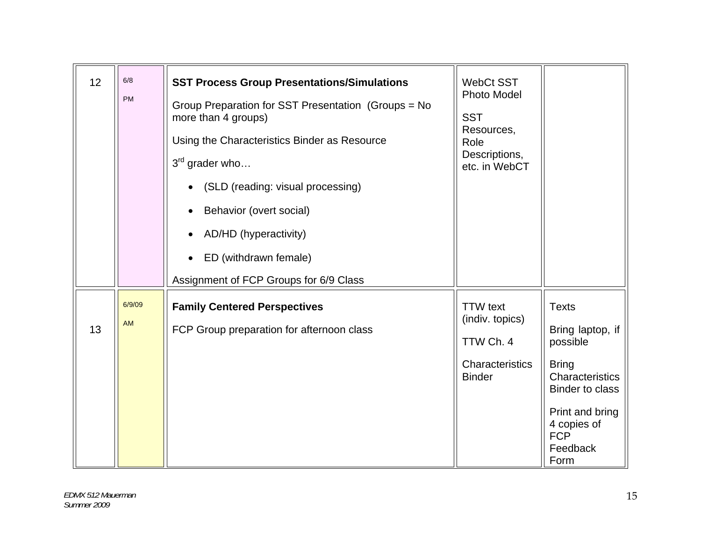| 12 | $6/8$<br>PM         | <b>SST Process Group Presentations/Simulations</b><br>Group Preparation for SST Presentation (Groups = No<br>more than 4 groups)<br>Using the Characteristics Binder as Resource<br>$3^{rd}$ grader who<br>(SLD (reading: visual processing)<br>Behavior (overt social)<br>AD/HD (hyperactivity)<br>ED (withdrawn female)<br>Assignment of FCP Groups for 6/9 Class | <b>WebCt SST</b><br>Photo Model<br><b>SST</b><br>Resources,<br>Role<br>Descriptions,<br>etc. in WebCT |                                                                                                                                                                               |
|----|---------------------|---------------------------------------------------------------------------------------------------------------------------------------------------------------------------------------------------------------------------------------------------------------------------------------------------------------------------------------------------------------------|-------------------------------------------------------------------------------------------------------|-------------------------------------------------------------------------------------------------------------------------------------------------------------------------------|
| 13 | 6/9/09<br><b>AM</b> | <b>Family Centered Perspectives</b><br>FCP Group preparation for afternoon class                                                                                                                                                                                                                                                                                    | <b>TTW</b> text<br>(indiv. topics)<br>TTW Ch. 4<br>Characteristics<br><b>Binder</b>                   | <b>Texts</b><br>Bring laptop, if<br>possible<br><b>Bring</b><br>Characteristics<br><b>Binder to class</b><br>Print and bring<br>4 copies of<br><b>FCP</b><br>Feedback<br>Form |